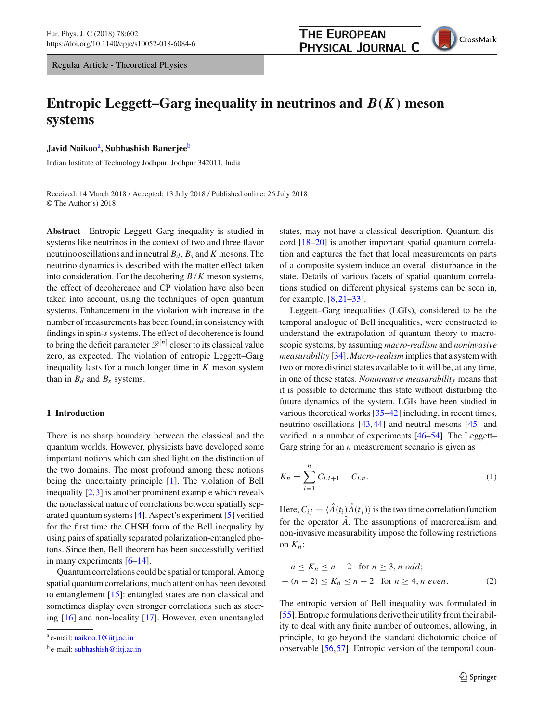Regular Article - Theoretical Physics

# **THE EUROPEAN PHYSICAL JOURNAL C**



# **Entropic Leggett–Garg inequality in neutrinos and** *B*(*K*) **meson systems**

**Javid Naikoo**<sup>a</sup> **, Subhashish Banerjee**<sup>b</sup>

Indian Institute of Technology Jodhpur, Jodhpur 342011, India

Received: 14 March 2018 / Accepted: 13 July 2018 / Published online: 26 July 2018 © The Author(s) 2018

**Abstract** Entropic Leggett–Garg inequality is studied in systems like neutrinos in the context of two and three flavor neutrino oscillations and in neutral  $B_d$ ,  $B_s$  and *K* mesons. The neutrino dynamics is described with the matter effect taken into consideration. For the decohering *B*/*K* meson systems, the effect of decoherence and CP violation have also been taken into account, using the techniques of open quantum systems. Enhancement in the violation with increase in the number of measurements has been found, in consistency with findings in spin-*s* systems. The effect of decoherence is found to bring the deficit parameter  $\mathscr{D}^{[n]}$  closer to its classical value zero, as expected. The violation of entropic Leggett–Garg inequality lasts for a much longer time in *K* meson system than in  $B_d$  and  $B_s$  systems.

# **1 Introduction**

There is no sharp boundary between the classical and the quantum worlds. However, physicists have developed some important notions which can shed light on the distinction of the two domains. The most profound among these notions being the uncertainty principle [\[1\]](#page-10-0). The violation of Bell inequality [\[2](#page-10-1),[3\]](#page-10-2) is another prominent example which reveals the nonclassical nature of correlations between spatially separated quantum systems [\[4](#page-10-3)]. Aspect's experiment [\[5\]](#page-10-4) verified for the first time the CHSH form of the Bell inequality by using pairs of spatially separated polarization-entangled photons. Since then, Bell theorem has been successfully verified in many experiments [\[6](#page-10-5)[–14](#page-10-6)].

Quantum correlations could be spatial or temporal. Among spatial quantum correlations, much attention has been devoted to entanglement [\[15](#page-10-7)]: entangled states are non classical and sometimes display even stronger correlations such as steering [\[16](#page-10-8)] and non-locality [\[17\]](#page-10-9). However, even unentangled

states, may not have a classical description. Quantum discord [\[18](#page-10-10)[–20](#page-10-11)] is another important spatial quantum correlation and captures the fact that local measurements on parts of a composite system induce an overall disturbance in the state. Details of various facets of spatial quantum correlations studied on different physical systems can be seen in, for example, [\[8](#page-10-12)[,21](#page-10-13)[–33](#page-10-14)].

Leggett–Garg inequalities (LGIs), considered to be the temporal analogue of Bell inequalities, were constructed to understand the extrapolation of quantum theory to macroscopic systems, by assuming *macro-realism* and *noninvasive measurability* [\[34\]](#page-10-15). *Macro-realism* implies that a system with two or more distinct states available to it will be, at any time, in one of these states. *Noninvasive measurability* means that it is possible to determine this state without disturbing the future dynamics of the system. LGIs have been studied in various theoretical works [\[35](#page-10-16)[–42](#page-10-17)] including, in recent times, neutrino oscillations [\[43,](#page-10-18)[44\]](#page-10-19) and neutral mesons [\[45\]](#page-10-20) and verified in a number of experiments [\[46](#page-10-21)[–54\]](#page-10-22). The Leggett– Garg string for an *n* measurement scenario is given as

$$
K_n = \sum_{i=1}^n C_{i,i+1} - C_{i,n}.
$$
 (1)

Here,  $C_{ij} = \langle A(t_i)A(t_j) \rangle$  is the two time correlation function for the operator  $\hat{A}$ . The assumptions of macrorealism and non-invasive measurability impose the following restrictions on  $K_n$ :

$$
-n \le K_n \le n-2 \quad \text{for } n \ge 3, n \text{ odd};
$$
  
 
$$
-(n-2) \le K_n \le n-2 \quad \text{for } n \ge 4, n \text{ even}.
$$
 (2)

The entropic version of Bell inequality was formulated in [\[55](#page-10-23)]. Entropic formulations derive their utility from their ability to deal with any finite number of outcomes, allowing, in principle, to go beyond the standard dichotomic choice of observable [\[56](#page-10-24),[57\]](#page-10-25). Entropic version of the temporal coun-

a e-mail: [naikoo.1@iitj.ac.in](mailto:naikoo.1@iitj.ac.in)

<sup>&</sup>lt;sup>b</sup> e-mail: [subhashish@iitj.ac.in](mailto:subhashish@iitj.ac.in)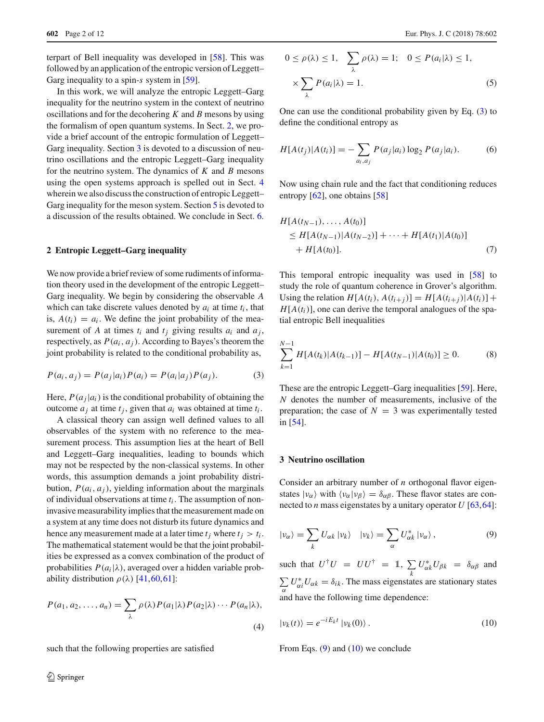terpart of Bell inequality was developed in [\[58](#page-10-26)]. This was followed by an application of the entropic version of Leggett– Garg inequality to a spin-*s* system in [\[59](#page-10-27)].

In this work, we will analyze the entropic Leggett–Garg inequality for the neutrino system in the context of neutrino oscillations and for the decohering *K* and *B* mesons by using the formalism of open quantum systems. In Sect. [2,](#page-1-0) we provide a brief account of the entropic formulation of Leggett– Garg inequality. Section [3](#page-1-1) is devoted to a discussion of neutrino oscillations and the entropic Leggett–Garg inequality for the neutrino system. The dynamics of *K* and *B* mesons using the open systems approach is spelled out in Sect. [4](#page-3-0) wherein we also discuss the construction of entropic Leggett– Garg inequality for the meson system. Section [5](#page-6-0) is devoted to a discussion of the results obtained. We conclude in Sect. [6.](#page-9-0)

#### <span id="page-1-0"></span>**2 Entropic Leggett–Garg inequality**

We now provide a brief review of some rudiments of information theory used in the development of the entropic Leggett– Garg inequality. We begin by considering the observable *A* which can take discrete values denoted by  $a_i$  at time  $t_i$ , that is,  $A(t_i) = a_i$ . We define the joint probability of the measurement of *A* at times  $t_i$  and  $t_j$  giving results  $a_i$  and  $a_j$ , respectively, as  $P(a_i, a_j)$ . According to Bayes's theorem the joint probability is related to the conditional probability as,

$$
P(a_i, a_j) = P(a_j|a_i)P(a_i) = P(a_i|a_j)P(a_j).
$$
 (3)

Here,  $P(a_j|a_i)$  is the conditional probability of obtaining the outcome  $a_j$  at time  $t_j$ , given that  $a_i$  was obtained at time  $t_i$ .

A classical theory can assign well defined values to all observables of the system with no reference to the measurement process. This assumption lies at the heart of Bell and Leggett–Garg inequalities, leading to bounds which may not be respected by the non-classical systems. In other words, this assumption demands a joint probability distribution,  $P(a_i, a_j)$ , yielding information about the marginals of individual observations at time *t<sup>i</sup>* . The assumption of noninvasive measurability implies that the measurement made on a system at any time does not disturb its future dynamics and hence any measurement made at a later time  $t_j$  where  $t_j > t_i$ . The mathematical statement would be that the joint probabilities be expressed as a convex combination of the product of probabilities  $P(a_i|\lambda)$ , averaged over a hidden variable probability distribution  $\rho(\lambda)$  [\[41](#page-10-28)[,60](#page-10-29),[61\]](#page-10-30):

$$
P(a_1, a_2, \dots, a_n) = \sum_{\lambda} \rho(\lambda) P(a_1 | \lambda) P(a_2 | \lambda) \cdots P(a_n | \lambda),
$$
\n(4)

such that the following properties are satisfied

$$
0 \le \rho(\lambda) \le 1, \quad \sum_{\lambda} \rho(\lambda) = 1; \quad 0 \le P(a_i|\lambda) \le 1,
$$

$$
\times \sum_{\lambda} P(a_i|\lambda) = 1.
$$
 (5)

One can use the conditional probability given by Eq. [\(3\)](#page-1-2) to define the conditional entropy as

$$
H[A(t_j)|A(t_i)] = -\sum_{a_i, a_j} P(a_j|a_i) \log_2 P(a_j|a_i).
$$
 (6)

Now using chain rule and the fact that conditioning reduces entropy [\[62](#page-10-31)], one obtains [\[58\]](#page-10-26)

$$
H[A(t_{N-1}),..., A(t_0)]
$$
  
\n
$$
\leq H[A(t_{N-1})|A(t_{N-2})] + \cdots + H[A(t_1)|A(t_0)]
$$
  
\n
$$
+ H[A(t_0)].
$$
\n(7)

This temporal entropic inequality was used in [\[58](#page-10-26)] to study the role of quantum coherence in Grover's algorithm. Using the relation  $H[A(t_i), A(t_{i+1})] = H[A(t_{i+1})|A(t_i)] +$  $H[A(t_i)]$ , one can derive the temporal analogues of the spatial entropic Bell inequalities

<span id="page-1-5"></span><span id="page-1-2"></span>
$$
\sum_{k=1}^{N-1} H[A(t_k)|A(t_{k-1})] - H[A(t_{N-1})|A(t_0)] \ge 0.
$$
 (8)

These are the entropic Leggett–Garg inequalities [\[59](#page-10-27)]. Here, *N* denotes the number of measurements, inclusive of the preparation; the case of  $N = 3$  was experimentally tested in [\[54\]](#page-10-22).

#### <span id="page-1-1"></span>**3 Neutrino oscillation**

Consider an arbitrary number of *n* orthogonal flavor eigenstates  $|v_{\alpha}\rangle$  with  $\langle v_{\alpha}|v_{\beta}\rangle = \delta_{\alpha\beta}$ . These flavor states are connected to *n* mass eigenstates by a unitary operator *U* [\[63](#page-10-32)[,64](#page-10-33)]:

<span id="page-1-3"></span>
$$
|\nu_{\alpha}\rangle = \sum_{k} U_{\alpha k} |\nu_{k}\rangle \quad |\nu_{k}\rangle = \sum_{\alpha} U_{\alpha k}^{*} |\nu_{\alpha}\rangle, \tag{9}
$$

<span id="page-1-4"></span>such that  $U^{\dagger}U = U U^{\dagger} = 1$ ,  $\sum_{i=1}^{n}$ *k*  $U^*_{\alpha k} U_{\beta k} = \delta_{\alpha \beta}$  and  $\sum_{\alpha} U^*_{\alpha i} U_{\alpha k} = \delta_{ik}$ . The mass eigenstates are stationary states  $\alpha$  and have the following time dependence:

$$
|\nu_k(t)\rangle = e^{-iE_k t} |\nu_k(0)\rangle.
$$
 (10)

From Eqs.  $(9)$  and  $(10)$  we conclude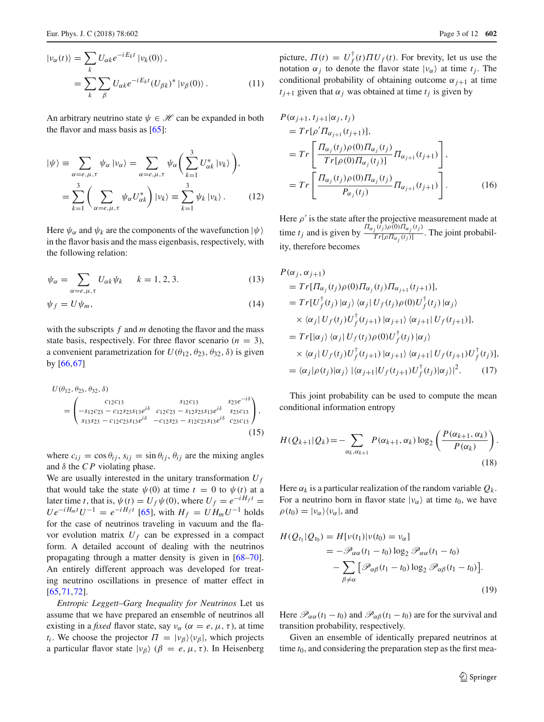$$
\begin{aligned} \left| \nu_{\alpha}(t) \right\rangle &= \sum_{k} U_{\alpha k} e^{-iE_{k}t} \left| \nu_{k}(0) \right\rangle, \\ &= \sum_{k} \sum_{\beta} U_{\alpha k} e^{-iE_{k}t} (U_{\beta k})^{*} \left| \nu_{\beta}(0) \right\rangle. \end{aligned} \tag{11}
$$

An arbitrary neutrino state  $\psi \in \mathcal{H}$  can be expanded in both the flavor and mass basis as [\[65\]](#page-10-34):

$$
|\psi\rangle = \sum_{\alpha=e,\mu,\tau} \psi_{\alpha} |\nu_{\alpha}\rangle = \sum_{\alpha=e,\mu,\tau} \psi_{\alpha} \bigg( \sum_{k=1}^{3} U_{\alpha k}^* |\nu_k\rangle \bigg),
$$
  
= 
$$
\sum_{k=1}^{3} \bigg( \sum_{\alpha=e,\mu,\tau} \psi_{\alpha} U_{\alpha k}^* \bigg) |\nu_k\rangle \equiv \sum_{k=1}^{3} \psi_k |\nu_k\rangle.
$$
 (12)

Here  $\psi_{\alpha}$  and  $\psi_{k}$  are the components of the wavefunction  $|\psi\rangle$ in the flavor basis and the mass eigenbasis, respectively, with the following relation:

$$
\psi_{\alpha} = \sum_{\alpha = e, \mu, \tau} U_{\alpha k} \psi_k \qquad k = 1, 2, 3. \tag{13}
$$

$$
\psi_f = U \psi_m,\tag{14}
$$

with the subscripts *f* and *m* denoting the flavor and the mass state basis, respectively. For three flavor scenario  $(n = 3)$ , a convenient parametrization for  $U(\theta_{12}, \theta_{23}, \theta_{32}, \delta)$  is given by [\[66](#page-10-35)[,67\]](#page-10-36)

$$
U(\theta_{12}, \theta_{23}, \theta_{32}, \delta) = \begin{pmatrix} c_{12}c_{13} & s_{12}c_{13} & s_{23}e^{-i\delta} \\ -s_{12}c_{23} - c_{12}s_{23}s_{13}e^{i\delta} & c_{12}c_{23} - s_{12}s_{23}s_{13}e^{i\delta} & s_{23}c_{13} \\ s_{13}s_{23} - c_{12}c_{23}s_{13}e^{i\delta} & -c_{12}s_{23} - s_{12}c_{23}s_{13}e^{i\delta} & c_{23}c_{13} \end{pmatrix},
$$
\n(15)

where  $c_{ij} = \cos \theta_{ij}$ ,  $s_{ij} = \sin \theta_{ij}$ ,  $\theta_{ij}$  are the mixing angles and  $\delta$  the *CP* violating phase.

We are usually interested in the unitary transformation  $U_f$ that would take the state  $\psi(0)$  at time  $t = 0$  to  $\psi(t)$  at a later time *t*, that is,  $\psi(t) = U_f \psi(0)$ , where  $U_f = e^{-iH_f t}$  $U e^{-i H_m t} U^{-1} = e^{-i H_f t}$  [\[65\]](#page-10-34), with  $H_f = U H_m U^{-1}$  holds for the case of neutrinos traveling in vacuum and the flavor evolution matrix  $U_f$  can be expressed in a compact form. A detailed account of dealing with the neutrinos propagating through a matter density is given in [\[68](#page-11-0)[–70](#page-11-1)]. An entirely different approach was developed for treating neutrino oscillations in presence of matter effect in [\[65](#page-10-34),[71,](#page-11-2)[72\]](#page-11-3).

*Entropic Leggett–Garg Inequality for Neutrinos* Let us assume that we have prepared an ensemble of neutrinos all existing in a *fixed* flavor state, say  $v_{\alpha}$  ( $\alpha = e, \mu, \tau$ ), at time *t<sub>i</sub>*. We choose the projector  $\Pi = |\nu_{\beta}\rangle\langle\nu_{\beta}|$ , which projects a particular flavor state  $|v_\beta\rangle$  ( $\beta = e, \mu, \tau$ ). In Heisenberg

picture,  $\Pi(t) = U_f^{\dagger}(t) \Pi U_f(t)$ . For brevity, let us use the notation  $\alpha_j$  to denote the flavor state  $|v_\alpha\rangle$  at time  $t_j$ . The conditional probability of obtaining outcome  $\alpha_{i+1}$  at time *t*<sub>*j*+1</sub> given that  $\alpha_j$  was obtained at time *t<sub>j</sub>* is given by

$$
P(\alpha_{j+1}, t_{j+1} | \alpha_j, t_j)
$$
  
=  $Tr[\rho' \Pi_{\alpha_{j+1}}(t_{j+1})],$   
=  $Tr\left[\frac{\Pi_{\alpha_j}(t_j)\rho(0)\Pi_{\alpha_j}(t_j)}{Tr[\rho(0)\Pi_{\alpha_j}(t_j)]}\Pi_{\alpha_{j+1}}(t_{j+1})\right],$   
=  $Tr\left[\frac{\Pi_{\alpha_j}(t_j)\rho(0)\Pi_{\alpha_j}(t_j)}{P_{\alpha_j}(t_j)}\Pi_{\alpha_{j+1}}(t_{j+1})\right].$  (16)

Here  $\rho'$  is the state after the projective measurement made at time *t<sub>j</sub>* and is given by  $\frac{\Pi_{\alpha_j}(t_j)\rho(0)\Pi_{\alpha_j}(t_j)}{Tr[\rho\Pi_{\alpha_j}(t_j)]}$  $\frac{f^{(x)}(r) - f^{(x)}(r)}{Tr[\rho \Pi_{\alpha_j}(t_j)]}$ . The joint probability, therefore becomes

$$
P(\alpha_j, \alpha_{j+1})
$$
  
=  $Tr[\Pi_{\alpha_j}(t_j)\rho(0)\Pi_{\alpha_j}(t_j)\Pi_{\alpha_{j+1}}(t_{j+1})],$   
=  $Tr[U_f^{\dagger}(t_j) | \alpha_j \rangle \langle \alpha_j | U_f(t_j)\rho(0)U_f^{\dagger}(t_j) | \alpha_j \rangle$   
 $\times \langle \alpha_j | U_f(t_j)U_f^{\dagger}(t_{j+1}) | \alpha_{j+1} \rangle \langle \alpha_{j+1} | U_f(t_{j+1})],$   
=  $Tr[|\alpha_j\rangle \langle \alpha_j | U_f(t_j)\rho(0)U_f^{\dagger}(t_j) | \alpha_j \rangle$   
 $\times \langle \alpha_j | U_f(t_j)U_f^{\dagger}(t_{j+1}) | \alpha_{j+1} \rangle \langle \alpha_{j+1} | U_f(t_{j+1})U_f^{\dagger}(t_j)],$   
=  $\langle \alpha_j | \rho(t_j) | \alpha_j \rangle | \langle \alpha_{j+1} | U_f(t_{j+1})U_f^{\dagger}(t_j) | \alpha_j \rangle |^2.$  (17)

This joint probability can be used to compute the mean conditional information entropy

$$
H(Q_{k+1}|Q_k) = -\sum_{\alpha_k, \alpha_{k+1}} P(\alpha_{k+1}, \alpha_k) \log_2 \left( \frac{P(\alpha_{k+1}, \alpha_k)}{P(\alpha_k)} \right).
$$
\n(18)

Here  $\alpha_k$  is a particular realization of the random variable  $Q_k$ . For a neutrino born in flavor state  $|v_{\alpha}\rangle$  at time  $t_0$ , we have  $\rho(t_0) = |\nu_\alpha\rangle\langle\nu_\alpha|$ , and

$$
H(Q_{t_1}|Q_{t_0}) = H[\nu(t_1)|\nu(t_0) = \nu_\alpha]
$$
  
=  $-\mathscr{P}_{\alpha\alpha}(t_1 - t_0) \log_2 \mathscr{P}_{\alpha\alpha}(t_1 - t_0)$   
 $-\sum_{\beta \neq \alpha} [\mathscr{P}_{\alpha\beta}(t_1 - t_0) \log_2 \mathscr{P}_{\alpha\beta}(t_1 - t_0)].$  (19)

Here  $\mathcal{P}_{\alpha\alpha}(t_1 - t_0)$  and  $\mathcal{P}_{\alpha\beta}(t_1 - t_0)$  are for the survival and transition probability, respectively.

Given an ensemble of identically prepared neutrinos at time  $t_0$ , and considering the preparation step as the first mea-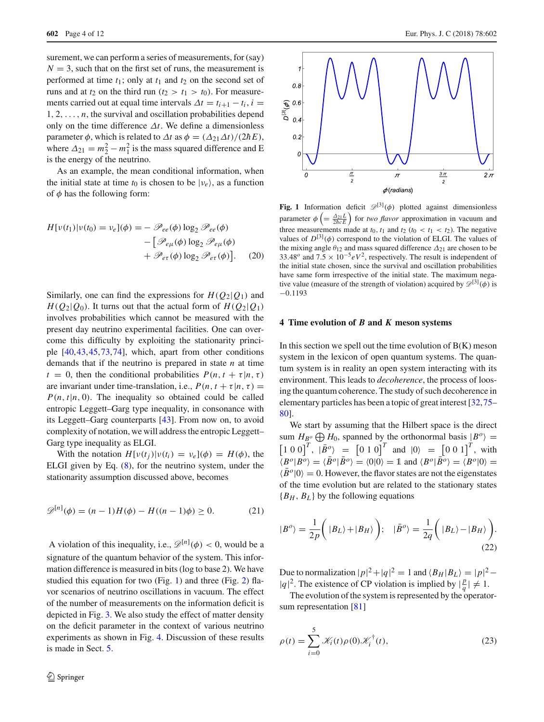surement, we can perform a series of measurements, for (say)  $N = 3$ , such that on the first set of runs, the measurement is performed at time  $t_1$ ; only at  $t_1$  and  $t_2$  on the second set of runs and at  $t_2$  on the third run  $(t_2 > t_1 > t_0)$ . For measurements carried out at equal time intervals  $\Delta t = t_{i+1} - t_i$ ,  $i =$  $1, 2, \ldots, n$ , the survival and oscillation probabilities depend only on the time difference  $\Delta t$ . We define a dimensionless parameter  $\phi$ , which is related to  $\Delta t$  as  $\phi = (\Delta_{21}\Delta t)/(2\hbar E)$ , where  $\Delta_{21} = m_2^2 - m_1^2$  is the mass squared difference and E is the energy of the neutrino.

As an example, the mean conditional information, when the initial state at time  $t_0$  is chosen to be  $|v_e\rangle$ , as a function of  $\phi$  has the following form:

$$
H[v(t_1)|v(t_0) = v_e](\phi) = -\mathscr{P}_{ee}(\phi) \log_2 \mathscr{P}_{ee}(\phi)
$$

$$
- \left[ \mathscr{P}_{e\mu}(\phi) \log_2 \mathscr{P}_{e\mu}(\phi) \right. \\ \left. + \mathscr{P}_{e\tau}(\phi) \log_2 \mathscr{P}_{e\tau}(\phi) \right]. \tag{20}
$$

Similarly, one can find the expressions for  $H(Q_2|Q_1)$  and  $H(Q_2|Q_0)$ . It turns out that the actual form of  $H(Q_2|Q_1)$ involves probabilities which cannot be measured with the present day neutrino experimental facilities. One can overcome this difficulty by exploiting the stationarity principle [\[40](#page-10-37)[,43](#page-10-18)[,45](#page-10-20),[73](#page-11-4),[74\]](#page-11-5), which, apart from other conditions demands that if the neutrino is prepared in state *n* at time  $t = 0$ , then the conditional probabilities  $P(n, t + \tau | n, \tau)$ are invariant under time-translation, i.e.,  $P(n, t + \tau | n, \tau) =$  $P(n, t | n, 0)$ . The inequality so obtained could be called entropic Leggett–Garg type inequality, in consonance with its Leggett–Garg counterparts [\[43](#page-10-18)]. From now on, to avoid complexity of notation, we will address the entropic Leggett– Garg type inequality as ELGI.

With the notation  $H[v(t_i)]v(t_i) = v_e](\phi) = H(\phi)$ , the ELGI given by Eq. [\(8\)](#page-1-5), for the neutrino system, under the stationarity assumption discussed above, becomes

$$
\mathscr{D}^{[n]}(\phi) = (n-1)H(\phi) - H((n-1)\phi) \ge 0.
$$
 (21)

A violation of this inequality, i.e.,  $\mathscr{D}^{[n]}(\phi) < 0$ , would be a signature of the quantum behavior of the system. This information difference is measured in bits (log to base 2). We have studied this equation for two (Fig. [1\)](#page-3-1) and three (Fig. [2\)](#page-4-0) flavor scenarios of neutrino oscillations in vacuum. The effect of the number of measurements on the information deficit is depicted in Fig. [3.](#page-4-1) We also study the effect of matter density on the deficit parameter in the context of various neutrino experiments as shown in Fig. [4.](#page-5-0) Discussion of these results is made in Sect. [5.](#page-6-0)



<span id="page-3-1"></span>**Fig. 1** Information deficit  $\mathcal{D}^{[3]}(\phi)$  plotted against dimensionless parameter  $\phi\left(=\frac{\Delta_{21}L}{2\hbar cE}\right)$  for *two flavor* approximation in vacuum and three measurements made at  $t_0$ ,  $t_1$  and  $t_2$  ( $t_0 < t_1 < t_2$ ). The negative values of  $D^{[3]}(\phi)$  correspond to the violation of ELGI. The values of the mixing angle  $\theta_{12}$  and mass squared difference  $\Delta_{21}$  are chosen to be 33.48<sup>*o*</sup> and  $7.5 \times 10^{-5} eV^2$ , respectively. The result is independent of the initial state chosen, since the survival and oscillation probabilities have same form irrespective of the initial state. The maximum negative value (measure of the strength of violation) acquired by  $\mathscr{D}^{[3]}(\phi)$  is −0.1193

#### <span id="page-3-0"></span>**4 Time evolution of** *B* **and** *K* **meson systems**

In this section we spell out the time evolution of  $B(K)$  meson system in the lexicon of open quantum systems. The quantum system is in reality an open system interacting with its environment. This leads to *decoherence*, the process of loosing the quantum coherence. The study of such decoherence in elementary particles has been a topic of great interest [\[32](#page-10-38)[,75](#page-11-6)– [80](#page-11-7)].

We start by assuming that the Hilbert space is the direct sum  $H_{B^o} \oplus H_0$ , spanned by the orthonormal basis  $|B^o\rangle =$  $\left[1\ 0\ 0\right]^T$ ,  $\left|\bar{B}^o\right\rangle$  =  $\left[0\ 1\ 0\right]^T$  and  $\left|0\right\rangle$  =  $\left[0\ 0\ 1\right]^T$ , with  $\langle \underline{B}^{\circ} | \underline{B}^{\circ} \rangle = \langle \underline{B}^{\circ} | \underline{B}^{\circ} \rangle = \langle 0 | 0 \rangle = \mathbb{1}$  and  $\langle B^{\circ} | \underline{B}^{\circ} \rangle = \langle B^{\circ} | 0 \rangle =$  $\langle \bar{B}^o | 0 \rangle = 0$ . However, the flavor states are not the eigenstates of the time evolution but are related to the stationary states  ${B<sub>H</sub>, B<sub>L</sub>}$  by the following equations

<span id="page-3-3"></span><span id="page-3-2"></span>
$$
|B^o\rangle = \frac{1}{2p} \left( |B_L\rangle + |B_H\rangle \right); \quad |\bar{B}^o\rangle = \frac{1}{2q} \left( |B_L\rangle - |B_H\rangle \right).
$$
\n(22)

Due to normalization  $|p|^2 + |q|^2 = 1$  and  $\langle B_H | B_L \rangle = |p|^2 - 1$  $|q|^2$ . The existence of CP violation is implied by  $\left|\frac{p}{q}\right|$  $\frac{p}{q}$  $\mid \neq 1$ .

The evolution of the system is represented by the operatorsum representation [\[81](#page-11-8)]

$$
\rho(t) = \sum_{i=0}^{5} \mathcal{K}_i(t)\rho(0)\mathcal{K}_i^{\dagger}(t),
$$
\n(23)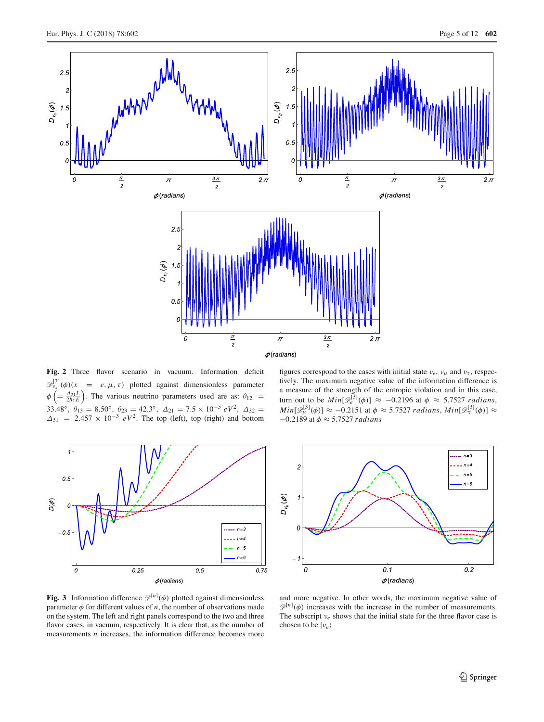

<span id="page-4-0"></span>**Fig. 2** Three flavor scenario in vacuum. Information deficit  $\mathscr{D}^{[3]}_{\nu_{\mathfrak{X}}}(\phi)(x) = e, \mu, \tau$  plotted against dimensionless parameter  $\phi$  (=  $\frac{\Delta_{21}L}{2\hbar cE}$ ). The various neutrino parameters used are as:  $\theta_{12}$  = 33.48°,  $\theta_{13} = 8.50^\circ$ ,  $\theta_{23} = 42.3^\circ$ ,  $\Delta_{21} = 7.5 \times 10^{-5} eV^2$ ,  $\Delta_{32} =$  $\Delta_{31}$  = 2.457 × 10<sup>-3</sup> eV<sup>2</sup>. The top (left), top (right) and bottom



figures correspond to the cases with initial state  $v_e$ ,  $v_\mu$  and  $v_\tau$ , respectively. The maximum negative value of the information difference is a measure of the strength of the entropic violation and in this case, turn out to be  $Min[\mathcal{D}_e^{[3]}(\phi)] \approx -0.2196$  at  $\phi \approx 5.7527$  *radians*,  $Min[\mathcal{D}_\mu^{[3]}(\phi)] \approx -0.2151$  at  $\phi \approx 5.7527$  *radians*,  $Min[\mathcal{D}_\tau^{[3]}(\phi)] \approx$ −0.2189 at φ ≈ 5.7527 *radians*



<span id="page-4-1"></span>**Fig. 3** Information difference  $\mathcal{D}^{[n]}(\phi)$  plotted against dimensionless parameter  $\phi$  for different values of *n*, the number of observations made on the system. The left and right panels correspond to the two and three flavor cases, in vacuum, respectively. It is clear that, as the number of measurements *n* increases, the information difference becomes more

and more negative. In other words, the maximum negative value of  $\mathscr{D}^{[n]}(\phi)$  increases with the increase in the number of measurements. The subscript  $v_e$  shows that the initial state for the three flavor case is chosen to be  $|v_e\rangle$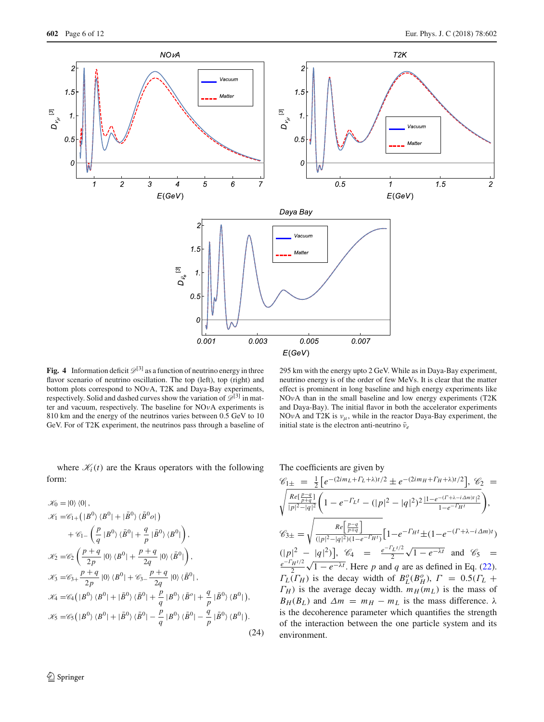

<span id="page-5-0"></span>**Fig. 4** Information deficit  $\mathcal{D}^{[3]}$  as a function of neutrino energy in three flavor scenario of neutrino oscillation. The top (left), top (right) and bottom plots correspond to NOνA, T2K and Daya-Bay experiments, respectively. Solid and dashed curves show the variation of  $\mathscr{D}^{[3]}$  in matter and vacuum, respectively. The baseline for NOνA experiments is 810 km and the energy of the neutrinos varies between 0.5 GeV to 10 GeV. For of T2K experiment, the neutrinos pass through a baseline of

<span id="page-5-1"></span>where  $\mathcal{K}_i(t)$  are the Kraus operators with the following form:

$$
\mathcal{K}_0 = |0\rangle \langle 0|,
$$
  
\n
$$
\mathcal{K}_1 = \mathcal{C}_{1+} (|B^0\rangle \langle B^0| + |\bar{B}^0\rangle \langle \bar{B}^0 o|)
$$
  
\n
$$
+ \mathcal{C}_{1-} \left( \frac{p}{q} |B^0\rangle \langle \bar{B}^0| + \frac{q}{p} |\bar{B}^0\rangle \langle B^0| \right),
$$
  
\n
$$
\mathcal{K}_2 = \mathcal{C}_2 \left( \frac{p+q}{2p} |0\rangle \langle B^0| + \frac{p+q}{2q} |0\rangle \langle \bar{B}^0| \right),
$$
  
\n
$$
\mathcal{K}_3 = \mathcal{C}_{3+} \frac{p+q}{2p} |0\rangle \langle B^0| + \mathcal{C}_{3-} \frac{p+q}{2q} |0\rangle \langle \bar{B}^0|,
$$
  
\n
$$
\mathcal{K}_4 = \mathcal{C}_4 (|B^0\rangle \langle B^0| + |\bar{B}^0\rangle \langle \bar{B}^0| + \frac{p}{q} |B^0\rangle \langle \bar{B}^o| + \frac{q}{p} |\bar{B}^0\rangle \langle B^0|),
$$
  
\n
$$
\mathcal{K}_5 = \mathcal{C}_5 (|B^0\rangle \langle B^0| + |\bar{B}^0\rangle \langle \bar{B}^0| - \frac{p}{q} |B^0\rangle \langle \bar{B}^0| - \frac{q}{p} |\bar{B}^0\rangle \langle B^0|).
$$
  
\n(24)

 $\mathscr{C}_{1\pm} = \frac{1}{2} \left[ e^{-(2im_L + \Gamma_L + \lambda)t/2} \pm e^{-(2im_H + \Gamma_H + \lambda)t/2} \right], \mathscr{C}_2 =$ <br> $\sqrt{\frac{Re[\frac{p-q}{p+q}]}{n+q}} \left( 1 - e^{-\Gamma_L t} - (|n|^2 - |q|^2)^2 \frac{|1 - e^{-(\Gamma + \lambda - i\Delta m)t}|^2}{n+q^2} \right)$  $\frac{Re[\frac{p-q}{p+q}]}{|p|^2-|q|^2} \left(1-e^{-\Gamma_L t}-(|p|^2-|q|^2)^2\frac{|1-e^{-(\Gamma+\lambda-i\Delta m)t}|^2}{1-e^{-\Gamma_H t}}\right)$  $1-e^{-\Gamma}H^{\dagger}$  $\mathscr{C}_{3\pm} =$  $Re\left[\frac{p-q}{p+q}\right]$  $\frac{C_{\lfloor p+q \rfloor}}{(|p|^2-|q|^2)(1-e^{-\Gamma_H t})} \Big[1-e^{-\Gamma_H t} \pm (1-e^{-(\Gamma+\lambda-i\Delta_m)t})$ 

initial state is the electron anti-neutrino  $\bar{\nu}_e$ 

The coefficients are given by

 $(|p|^2 - |q|^2)$ ,  $\mathcal{C}_4 = \frac{e^{-\Gamma_L t/2}}{2}$ 2  $(|p|^2 - |q|^2)$ ,  $\mathcal{C}_4 = \frac{e^{-\Gamma_L t/2}}{2} \sqrt{1 - e^{-\lambda t}}$  and  $\mathcal{C}_5 = \frac{e^{-\Gamma_H t/2}}{2} \sqrt{1 - e^{-\lambda t}}$  Here *n* and *a* are as defined in Eq. (22) 2  $\sqrt{1 - e^{-\lambda t}}$ . Here *p* and *q* are as defined in Eq. [\(22\)](#page-3-2).  $\Gamma_L(\Gamma_H)$  is the decay width of  $B_L^o(B_H^o)$ ,  $\Gamma = 0.5(\Gamma_L +$  $\Gamma_H$ ) is the average decay width.  $m_H(m_L)$  is the mass of *B*<sub>*H*</sub>(*B*<sub>*L*</sub>) and  $Δm = m<sub>H</sub> - m<sub>L</sub>$  is the mass difference. λ is the decoherence parameter which quantifies the strength of the interaction between the one particle system and its environment.

 $\bigg)$ 

295 km with the energy upto 2 GeV. While as in Daya-Bay experiment, neutrino energy is of the order of few MeVs. It is clear that the matter effect is prominent in long baseline and high energy experiments like NOνA than in the small baseline and low energy experiments (T2K and Daya-Bay). The initial flavor in both the accelerator experiments NOvA and T2K is  $v_{\mu}$ , while in the reactor Daya-Bay experiment, the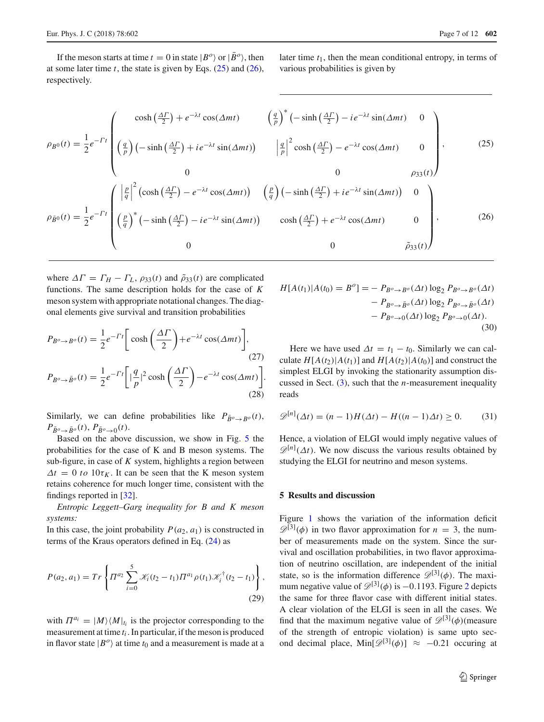If the meson starts at time  $t = 0$  in state  $|B^o\rangle$  or  $|\bar{B}^o\rangle$ , then at some later time  $t$ , the state is given by Eqs.  $(25)$  and  $(26)$ , respectively.

later time *t*1, then the mean conditional entropy, in terms of various probabilities is given by

<span id="page-6-1"></span>
$$
\rho_{B^0}(t) = \frac{1}{2} e^{-\Gamma t} \begin{pmatrix} \cosh\left(\frac{\Delta \Gamma}{2}\right) + e^{-\lambda t} \cos(\Delta mt) & \left(\frac{q}{p}\right)^* \left(-\sinh\left(\frac{\Delta \Gamma}{2}\right) - ie^{-\lambda t} \sin(\Delta mt) & 0 \right) \\ \left(\frac{q}{p}\right) \left(-\sinh\left(\frac{\Delta \Gamma}{2}\right) + ie^{-\lambda t} \sin(\Delta mt)\right) & \left|\frac{q}{p}\right|^2 \cosh\left(\frac{\Delta \Gamma}{2}\right) - e^{-\lambda t} \cos(\Delta mt) & 0 \right) \\ 0 & 0 & \rho_{33}(t) \end{pmatrix}, \tag{25}
$$
  

$$
\rho_{\bar{B}^0}(t) = \frac{1}{2} e^{-\Gamma t} \begin{pmatrix} \left|\frac{p}{q}\right|^2 \left(\cosh\left(\frac{\Delta \Gamma}{2}\right) - e^{-\lambda t} \cos(\Delta mt)\right) & \left(\frac{p}{q}\right) \left(-\sinh\left(\frac{\Delta \Gamma}{2}\right) + ie^{-\lambda t} \sin(\Delta mt)\right) & 0 \\ \left(\frac{p}{q}\right)^* \left(-\sinh\left(\frac{\Delta \Gamma}{2}\right) - ie^{-\lambda t} \sin(\Delta mt)\right) & \left(\frac{p}{q}\right) \left(-\sinh\left(\frac{\Delta \Gamma}{2}\right) + ie^{-\lambda t} \sin(\Delta mt)\right) & 0 \\ 0 & 0 & \tilde{\rho}_{33}(t) \end{pmatrix}, \tag{26}
$$

where  $\Delta \Gamma = \Gamma_H - \Gamma_L$ ,  $\rho_{33}(t)$  and  $\tilde{\rho}_{33}(t)$  are complicated functions. The same description holds for the case of *K* meson system with appropriate notational changes. The diagonal elements give survival and transition probabilities

$$
P_{B^o \to B^o}(t) = \frac{1}{2} e^{-\Gamma t} \left[ \cosh\left(\frac{\Delta \Gamma}{2}\right) + e^{-\lambda t} \cos(\Delta mt) \right],
$$
\n
$$
(27)
$$
\n
$$
P_{B^o \to \bar{B}^o}(t) = \frac{1}{2} e^{-\Gamma t} \left[ |\frac{q}{p}|^2 \cosh\left(\frac{\Delta \Gamma}{2}\right) - e^{-\lambda t} \cos(\Delta mt) \right].
$$
\n
$$
(28)
$$

Similarly, we can define probabilities like  $P_{\bar{R}^o \to R^o}(t)$ ,  $P_{\bar{B}^o \to \bar{B}^o}(t)$ ,  $P_{\bar{B}^o \to 0}(t)$ .

Based on the above discussion, we show in Fig. [5](#page-7-0) the probabilities for the case of K and B meson systems. The sub-figure, in case of *K* system, highlights a region between  $\Delta t = 0$  *to* 10 $\tau_K$ . It can be seen that the K meson system retains coherence for much longer time, consistent with the findings reported in [\[32\]](#page-10-38).

*Entropic Leggett–Garg inequality for B and K meson systems:*

In this case, the joint probability  $P(a_2, a_1)$  is constructed in terms of the Kraus operators defined in Eq. [\(24\)](#page-5-1) as

$$
P(a_2, a_1) = Tr \left\{ \Pi^{a_2} \sum_{i=0}^{5} \mathcal{K}_i(t_2 - t_1) \Pi^{a_1} \rho(t_1) \mathcal{K}_i^{\dagger}(t_2 - t_1) \right\},
$$
\n(29)

with  $\Pi^{a_i} = |M\rangle \langle M|_{t_i}$  is the projector corresponding to the measurement at time *t<sup>i</sup>* . In particular, if the meson is produced in flavor state  $|B^o\rangle$  at time  $t_0$  and a measurement is made at a

$$
H[A(t_1)|A(t_0) = B^o] = -P_{B^o \to B^o}(\Delta t) \log_2 P_{B^o \to B^o}(\Delta t)
$$

$$
-P_{B^o \to \bar{B}^o}(\Delta t) \log_2 P_{B^o \to \bar{B}^o}(\Delta t)
$$

$$
-P_{B^o \to 0}(\Delta t) \log_2 P_{B^o \to 0}(\Delta t).
$$
(30)

Here we have used  $\Delta t = t_1 - t_0$ . Similarly we can calculate  $H[A(t_2)|A(t_1)]$  and  $H[A(t_2)|A(t_0)]$  and construct the simplest ELGI by invoking the stationarity assumption discussed in Sect. [\(3\)](#page-1-1), such that the *n*-measurement inequality reads

<span id="page-6-2"></span>
$$
\mathcal{D}^{[n]}(\Delta t) = (n-1)H(\Delta t) - H((n-1)\Delta t) \ge 0.
$$
 (31)

Hence, a violation of ELGI would imply negative values of  $\mathscr{D}^{[n]}(\Delta t)$ . We now discuss the various results obtained by studying the ELGI for neutrino and meson systems.

### <span id="page-6-0"></span>**5 Results and discussion**

Figure [1](#page-3-1) shows the variation of the information deficit  $\mathscr{D}^{[3]}(\phi)$  in two flavor approximation for  $n = 3$ , the number of measurements made on the system. Since the survival and oscillation probabilities, in two flavor approximation of neutrino oscillation, are independent of the initial state, so is the information difference  $\mathscr{D}^{[3]}(\phi)$ . The maximum negative value of  $\mathscr{D}^{[3]}(\phi)$  is  $-0.1193$ . Figure [2](#page-4-0) depicts the same for three flavor case with different initial states. A clear violation of the ELGI is seen in all the cases. We find that the maximum negative value of  $\mathscr{D}^{[3]}(\phi)$  (measure of the strength of entropic violation) is same upto second decimal place, Min[ $\mathscr{D}^{[3]}(\phi)$ ] ≈ -0.21 occuring at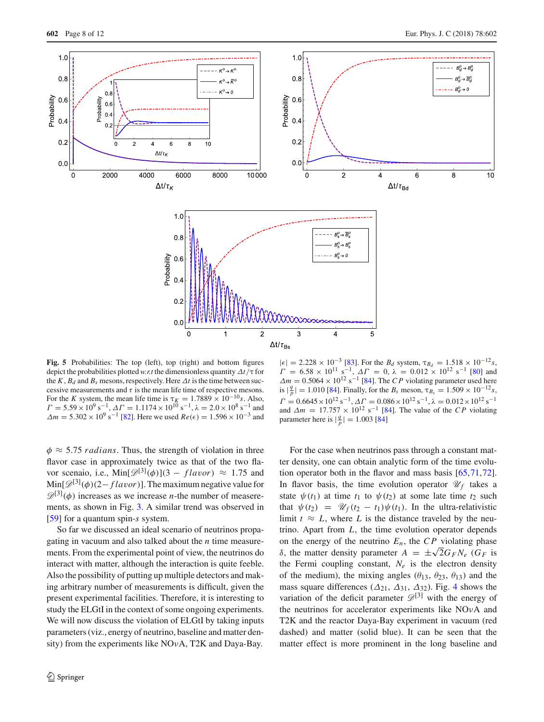

<span id="page-7-0"></span>**Fig. 5** Probabilities: The top (left), top (right) and bottom figures depict the probabilities plotted *w.r.t* the dimensionless quantity Δ*t*/τ for the *K*,  $B_d$  and  $B_s$  mesons, respectively. Here  $\Delta t$  is the time between successive measurements and  $\tau$  is the mean life time of respective mesons. For the *K* system, the mean life time is  $\tau_K = 1.7889 \times 10^{-10} s$ . Also,  $\Gamma = 5.59 \times 10^9 \text{ s}^{-1}$ ,  $\Delta \Gamma = 1.1174 \times 10^{10} \text{ s}^{-1}$ ,  $\lambda = 2.0 \times 10^8 \text{ s}^{-1}$  and  $\Delta m = 5.302 \times 10^9 \text{ s}^{-1}$  [\[82](#page-11-9)]. Here we used  $Re(\epsilon) = 1.596 \times 10^{-3}$  and

 $\phi \approx 5.75$  *radians*. Thus, the strength of violation in three flavor case in approximately twice as that of the two flavor scenaio, i.e.,  $\text{Min}[\mathcal{D}^{[3]}(\phi)](3 - \text{flavor}) \approx 1.75$  and  $\text{Min}[\mathcal{D}^{[3]}(\phi)(2-flavor)]$ . The maximum negative value for  $\mathscr{D}^{[3]}(\phi)$  increases as we increase *n*-the number of measerements, as shown in Fig. [3.](#page-4-1) A similar trend was observed in [\[59](#page-10-27)] for a quantum spin-*s* system.

So far we discussed an ideal scenario of neutrinos propagating in vacuum and also talked about the *n* time measurements. From the experimental point of view, the neutrinos do interact with matter, although the interaction is quite feeble. Also the possibility of putting up multiple detectors and making arbitrary number of measurements is difficult, given the present experimental facilities. Therefore, it is interesting to study the ELGtI in the context of some ongoing experiments. We will now discuss the violation of ELGtI by taking inputs parameters (viz., energy of neutrino, baseline and matter density) from the experiments like NOvA, T2K and Daya-Bay.

 $|\epsilon| = 2.228 \times 10^{-3}$  [\[83](#page-11-10)]. For the *B<sub>d</sub>* system,  $\tau_{B_d} = 1.518 \times 10^{-12} s$ ,  $\Gamma = 6.58 \times 10^{11} \text{ s}^{-1}$ ,  $\Delta \Gamma = 0$ ,  $\lambda = 0.012 \times 10^{12} \text{ s}^{-1}$  [\[80](#page-11-7)] and  $\Delta m = 0.5064 \times 10^{12} \text{ s}^{-1}$  [\[84](#page-11-11)]. The *CP* violating parameter used here is  $|\frac{q}{p}| = 1.010$  [\[84](#page-11-11)]. Finally, for the *B<sub>s</sub>* meson,  $\tau_{B_s} = 1.509 \times 10^{-12} s$ ,  $\Gamma = 0.6645 \times 10^{12} \text{ s}^{-1}$ ,  $\Delta \Gamma = 0.086 \times 10^{12} \text{ s}^{-1}$ ,  $\lambda = 0.012 \times 10^{12} \text{ s}^{-1}$ and  $\Delta m = 17.757 \times 10^{12} \text{ s}^{-1}$  [\[84](#page-11-11)]. The value of the *CP* violating parameter here is  $\left|\frac{q}{p}\right| = 1.003$  [\[84\]](#page-11-11)

For the case when neutrinos pass through a constant matter density, one can obtain analytic form of the time evolution operator both in the flavor and mass basis [\[65](#page-10-34)[,71](#page-11-2)[,72](#page-11-3)]. In flavor basis, the time evolution operator  $\mathcal{U}_f$  takes a state  $\psi(t_1)$  at time  $t_1$  to  $\psi(t_2)$  at some late time  $t_2$  such that  $\psi(t_2) = \mathcal{U}_f(t_2 - t_1)\psi(t_1)$ . In the ultra-relativistic limit  $t \approx L$ , where L is the distance traveled by the neutrino. Apart from *L*, the time evolution operator depends on the energy of the neutrino  $E_n$ , the  $CP$  violating phase δ, the matter density parameter  $A = \pm \sqrt{2} G_F N_e$  ( $G_F$  is the Fermi coupling constant,  $N_e$  is the electron density of the medium), the mixing angles ( $\theta_{13}$ ,  $\theta_{23}$ ,  $\theta_{13}$ ) and the mass square differences ( $\Delta_{21}$ ,  $\Delta_{31}$ ,  $\Delta_{32}$ ). Fig. [4](#page-5-0) shows the variation of the deficit parameter  $\mathscr{D}^{[3]}$  with the energy of the neutrinos for accelerator experiments like NOνA and T2K and the reactor Daya-Bay experiment in vacuum (red dashed) and matter (solid blue). It can be seen that the matter effect is more prominent in the long baseline and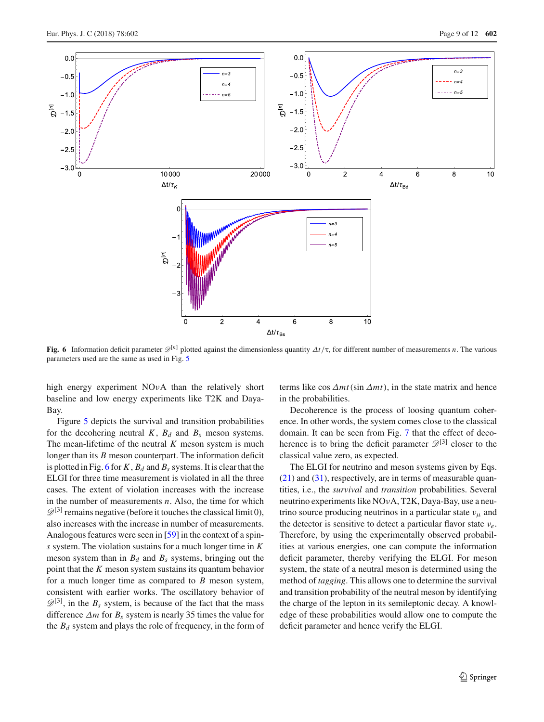

<span id="page-8-0"></span>**Fig. 6** Information deficit parameter  $\mathcal{D}^{\{n\}}$  plotted against the dimensionless quantity  $\Delta t/\tau$ , for different number of measurements *n*. The various parameters used are the same as used in Fig. [5](#page-7-0)

high energy experiment NOνA than the relatively short baseline and low energy experiments like T2K and Daya-Bay.

Figure [5](#page-7-0) depicts the survival and transition probabilities for the decohering neutral  $K$ ,  $B_d$  and  $B_s$  meson systems. The mean-lifetime of the neutral *K* meson system is much longer than its *B* meson counterpart. The information deficit is plotted in Fig. [6](#page-8-0) for  $K$ ,  $B_d$  and  $B_s$  systems. It is clear that the ELGI for three time measurement is violated in all the three cases. The extent of violation increases with the increase in the number of measurements *n*. Also, the time for which  $\mathscr{D}^{[3]}$  remains negative (before it touches the classical limit 0), also increases with the increase in number of measurements. Analogous features were seen in [\[59](#page-10-27)] in the context of a spin*s* system. The violation sustains for a much longer time in *K* meson system than in  $B_d$  and  $B_s$  systems, bringing out the point that the *K* meson system sustains its quantum behavior for a much longer time as compared to *B* meson system, consistent with earlier works. The oscillatory behavior of  $\mathscr{D}^{[3]}$ , in the  $B_s$  system, is because of the fact that the mass difference  $\Delta m$  for  $B_s$  system is nearly 35 times the value for the *B<sup>d</sup>* system and plays the role of frequency, in the form of terms like cos  $\Delta mt(\sin \Delta mt)$ , in the state matrix and hence in the probabilities.

Decoherence is the process of loosing quantum coherence. In other words, the system comes close to the classical domain. It can be seen from Fig. [7](#page-9-1) that the effect of decoherence is to bring the deficit parameter  $\mathscr{D}^{[3]}$  closer to the classical value zero, as expected.

The ELGI for neutrino and meson systems given by Eqs.  $(21)$  and  $(31)$ , respectively, are in terms of measurable quantities, i.e., the *survival* and *transition* probabilities. Several neutrino experiments like NOνA, T2K, Daya-Bay, use a neutrino source producing neutrinos in a particular state  $v_{\mu}$  and the detector is sensitive to detect a particular flavor state ν*e*. Therefore, by using the experimentally observed probabilities at various energies, one can compute the information deficit parameter, thereby verifying the ELGI. For meson system, the state of a neutral meson is determined using the method of *tagging*. This allows one to determine the survival and transition probability of the neutral meson by identifying the charge of the lepton in its semileptonic decay. A knowledge of these probabilities would allow one to compute the deficit parameter and hence verify the ELGI.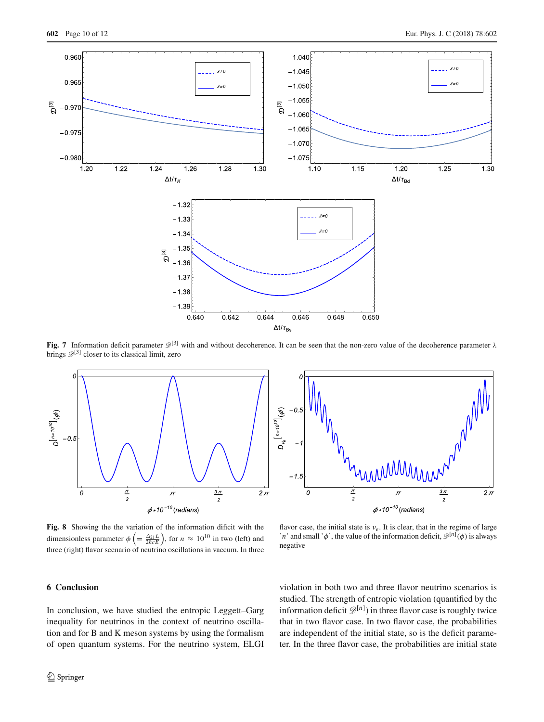

<span id="page-9-1"></span>**Fig. 7** Information deficit parameter  $\mathcal{D}^{[3]}$  with and without decoherence. It can be seen that the non-zero value of the decoherence parameter  $\lambda$ brings  $\mathscr{D}^{[3]}$  closer to its classical limit, zero



<span id="page-9-2"></span>**Fig. 8** Showing the the variation of the information dificit with the dimensionless parameter  $\phi\left(=\frac{\Delta_{21}L}{2\hbar cE}\right)$ , for  $n \approx 10^{10}$  in two (left) and three (right) flavor scenario of neutrino oscillations in vaccum. In three

flavor case, the initial state is  $v_e$ . It is clear, that in the regime of large '*n*' and small ' $\phi$ ', the value of the information deficit,  $\mathscr{D}^{[n]}(\phi)$  is always negative

# <span id="page-9-0"></span>**6 Conclusion**

In conclusion, we have studied the entropic Leggett–Garg inequality for neutrinos in the context of neutrino oscillation and for B and K meson systems by using the formalism of open quantum systems. For the neutrino system, ELGI

violation in both two and three flavor neutrino scenarios is studied. The strength of entropic violation (quantified by the information deficit  $\mathcal{D}^{[n]}$ ) in three flavor case is roughly twice that in two flavor case. In two flavor case, the probabilities are independent of the initial state, so is the deficit parameter. In the three flavor case, the probabilities are initial state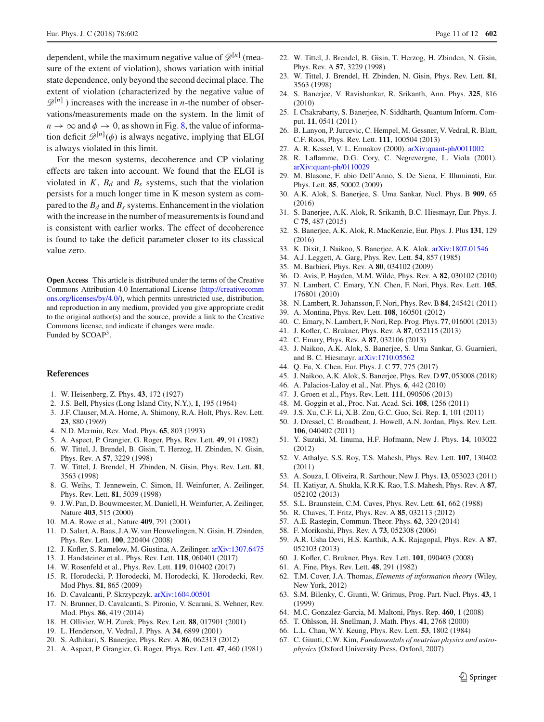dependent, while the maximum negative value of  $\mathscr{D}^{[n]}$  (measure of the extent of violation), shows variation with initial state dependence, only beyond the second decimal place. The extent of violation (characterized by the negative value of  $\mathscr{D}^{[n]}$ ) increases with the increase in *n*-the number of observations/measurements made on the system. In the limit of  $n \to \infty$  and  $\phi \to 0$ , as shown in Fig. [8,](#page-9-2) the value of information deficit  $\mathscr{D}^{[n]}(\phi)$  is always negative, implying that ELGI is always violated in this limit.

For the meson systems, decoherence and CP violating effects are taken into account. We found that the ELGI is violated in  $K$ ,  $B_d$  and  $B_s$  systems, such that the violation persists for a much longer time in K meson system as compared to the  $B_d$  and  $B_s$  systems. Enhancement in the violation with the increase in the number of measurements is found and is consistent with earlier works. The effect of decoherence is found to take the deficit parameter closer to its classical value zero.

**Open Access** This article is distributed under the terms of the Creative Commons Attribution 4.0 International License [\(http://creativecomm](http://creativecommons.org/licenses/by/4.0/) [ons.org/licenses/by/4.0/\)](http://creativecommons.org/licenses/by/4.0/), which permits unrestricted use, distribution, and reproduction in any medium, provided you give appropriate credit to the original author(s) and the source, provide a link to the Creative Commons license, and indicate if changes were made. Funded by SCOAP<sup>3</sup>.

#### **References**

- <span id="page-10-0"></span>1. W. Heisenberg, Z. Phys. **43**, 172 (1927)
- <span id="page-10-1"></span>2. J.S. Bell, Physics (Long Island City, N.Y.), **1**, 195 (1964)
- <span id="page-10-2"></span>3. J.F. Clauser, M.A. Horne, A. Shimony, R.A. Holt, Phys. Rev. Lett. **23**, 880 (1969)
- <span id="page-10-3"></span>4. N.D. Mermin, Rev. Mod. Phys. **65**, 803 (1993)
- <span id="page-10-4"></span>5. A. Aspect, P. Grangier, G. Roger, Phys. Rev. Lett. **49**, 91 (1982)
- <span id="page-10-5"></span>6. W. Tittel, J. Brendel, B. Gisin, T. Herzog, H. Zbinden, N. Gisin, Phys. Rev. A **57**, 3229 (1998)
- 7. W. Tittel, J. Brendel, H. Zbinden, N. Gisin, Phys. Rev. Lett. **81**, 3563 (1998)
- <span id="page-10-12"></span>8. G. Weihs, T. Jennewein, C. Simon, H. Weinfurter, A. Zeilinger, Phys. Rev. Lett. **81**, 5039 (1998)
- 9. J.W. Pan, D. Bouwmeester, M. Daniell, H. Weinfurter, A. Zeilinger, Nature **403**, 515 (2000)
- 10. M.A. Rowe et al., Nature **409**, 791 (2001)
- 11. D. Salart, A. Baas, J.A.W. van Houwelingen, N. Gisin, H. Zbinden, Phys. Rev. Lett. **100**, 220404 (2008)
- 12. J. Kofler, S. Ramelow, M. Giustina, A. Zeilinger. [arXiv:1307.6475](http://arxiv.org/abs/1307.6475)
- 13. J. Handsteiner et al., Phys. Rev. Lett. **118**, 060401 (2017)
- <span id="page-10-6"></span>14. W. Rosenfeld et al., Phys. Rev. Lett. **119**, 010402 (2017)
- <span id="page-10-7"></span>15. R. Horodecki, P. Horodecki, M. Horodecki, K. Horodecki, Rev. Mod Phys. **81**, 865 (2009)
- <span id="page-10-8"></span>16. D. Cavalcanti, P. Skrzypczyk. [arXiv:1604.00501](http://arxiv.org/abs/1604.00501)
- <span id="page-10-9"></span>17. N. Brunner, D. Cavalcanti, S. Pironio, V. Scarani, S. Wehner, Rev. Mod. Phys. **86**, 419 (2014)
- <span id="page-10-10"></span>18. H. Ollivier, W.H. Zurek, Phys. Rev. Lett. **88**, 017901 (2001)
- 19. L. Henderson, V. Vedral, J. Phys. A **34**, 6899 (2001)
- <span id="page-10-11"></span>20. S. Adhikari, S. Banerjee, Phys. Rev. A **86**, 062313 (2012)
- <span id="page-10-13"></span>21. A. Aspect, P. Grangier, G. Roger, Phys. Rev. Lett. **47**, 460 (1981)
- 22. W. Tittel, J. Brendel, B. Gisin, T. Herzog, H. Zbinden, N. Gisin, Phys. Rev. A **57**, 3229 (1998)
- 23. W. Tittel, J. Brendel, H. Zbinden, N. Gisin, Phys. Rev. Lett. **81**, 3563 (1998)
- 24. S. Banerjee, V. Ravishankar, R. Srikanth, Ann. Phys. **325**, 816 (2010)
- 25. I. Chakrabarty, S. Banerjee, N. Siddharth, Quantum Inform. Comput. **11**, 0541 (2011)
- 26. B. Lanyon, P. Jurcevic, C. Hempel, M. Gessner, V. Vedral, R. Blatt, C.F. Roos, Phys. Rev. Lett. **111**, 100504 (2013)
- 27. A. R. Kessel, V. L. Ermakov (2000). [arXiv:quant-ph/0011002](http://arxiv.org/abs/quant-ph/0011002)
- 28. R. Laflamme, D.G. Cory, C. Negrevergne, L. Viola (2001). [arXiv:quant-ph/0110029](http://arxiv.org/abs/quant-ph/0110029)
- 29. M. Blasone, F. abio Dell'Anno, S. De Siena, F. Illuminati, Eur. Phys. Lett. **85**, 50002 (2009)
- 30. A.K. Alok, S. Banerjee, S. Uma Sankar, Nucl. Phys. B **909**, 65 (2016)
- 31. S. Banerjee, A.K. Alok, R. Srikanth, B.C. Hiesmayr, Eur. Phys. J. C **75**, 487 (2015)
- <span id="page-10-38"></span>32. S. Banerjee, A.K. Alok, R. MacKenzie, Eur. Phys. J. Plus **131**, 129 (2016)
- <span id="page-10-14"></span>33. K. Dixit, J. Naikoo, S. Banerjee, A.K. Alok. [arXiv:1807.01546](http://arxiv.org/abs/1807.01546)
- <span id="page-10-15"></span>34. A.J. Leggett, A. Garg, Phys. Rev. Lett. **54**, 857 (1985)
- <span id="page-10-16"></span>35. M. Barbieri, Phys. Rev. A **80**, 034102 (2009)
- 36. D. Avis, P. Hayden, M.M. Wilde, Phys. Rev. A **82**, 030102 (2010)
- 37. N. Lambert, C. Emary, Y.N. Chen, F. Nori, Phys. Rev. Lett. **105**, 176801 (2010)
- 38. N. Lambert, R. Johansson, F. Nori, Phys. Rev. B **84**, 245421 (2011)
- 39. A. Montina, Phys. Rev. Lett. **108**, 160501 (2012)
- <span id="page-10-37"></span>40. C. Emary, N. Lambert, F. Nori, Rep. Prog. Phys. **77**, 016001 (2013)
- <span id="page-10-28"></span>41. J. Kofler, C. Brukner, Phys. Rev. A **87**, 052115 (2013)
- <span id="page-10-17"></span>42. C. Emary, Phys. Rev. A **87**, 032106 (2013)
- <span id="page-10-18"></span>43. J. Naikoo, A.K. Alok, S. Banerjee, S. Uma Sankar, G. Guarnieri, and B. C. Hiesmayr. [arXiv:1710.05562](http://arxiv.org/abs/1710.05562)
- <span id="page-10-19"></span>44. Q. Fu, X. Chen, Eur. Phys. J. C **77**, 775 (2017)
- <span id="page-10-20"></span>45. J. Naikoo, A.K. Alok, S. Banerjee, Phys. Rev. D **97**, 053008 (2018)
- <span id="page-10-21"></span>46. A. Palacios-Laloy et al., Nat. Phys. **6**, 442 (2010)
- 47. J. Groen et al., Phys. Rev. Lett. **111**, 090506 (2013)
- 48. M. Goggin et al., Proc. Nat. Acad. Sci. **108**, 1256 (2011)
- 49. J.S. Xu, C.F. Li, X.B. Zou, G.C. Guo, Sci. Rep. **1**, 101 (2011)
- 50. J. Dressel, C. Broadbent, J. Howell, A.N. Jordan, Phys. Rev. Lett. **106**, 040402 (2011)
- 51. Y. Suzuki, M. Iinuma, H.F. Hofmann, New J. Phys. **14**, 103022 (2012)
- 52. V. Athalye, S.S. Roy, T.S. Mahesh, Phys. Rev. Lett. **107**, 130402 (2011)
- 53. A. Souza, I. Oliveira, R. Sarthour, New J. Phys. **13**, 053023 (2011)
- <span id="page-10-22"></span>54. H. Katiyar, A. Shukla, K.R.K. Rao, T.S. Mahesh, Phys. Rev. A **87**, 052102 (2013)
- <span id="page-10-23"></span>55. S.L. Braunstein, C.M. Caves, Phys. Rev. Lett. **61**, 662 (1988)
- <span id="page-10-24"></span>56. R. Chaves, T. Fritz, Phys. Rev. A **85**, 032113 (2012)
- <span id="page-10-25"></span>57. A.E. Rastegin, Commun. Theor. Phys. **62**, 320 (2014)
- <span id="page-10-26"></span>58. F. Morikoshi, Phys. Rev. A **73**, 052308 (2006)
- <span id="page-10-27"></span>59. A.R. Usha Devi, H.S. Karthik, A.K. Rajagopal, Phys. Rev. A **87**, 052103 (2013)
- <span id="page-10-29"></span>60. J. Kofler, C. Brukner, Phys. Rev. Lett. **101**, 090403 (2008)
- <span id="page-10-30"></span>61. A. Fine, Phys. Rev. Lett. **48**, 291 (1982)
- <span id="page-10-31"></span>62. T.M. Cover, J.A. Thomas, *Elements of information theory* (Wiley, New York, 2012)
- <span id="page-10-32"></span>63. S.M. Bilenky, C. Giunti, W. Grimus, Prog. Part. Nucl. Phys. **43**, 1 (1999)
- <span id="page-10-33"></span>64. M.C. Gonzalez-Garcia, M. Maltoni, Phys. Rep. **460**, 1 (2008)
- <span id="page-10-34"></span>65. T. Ohlsson, H. Snellman, J. Math. Phys. **41**, 2768 (2000)
- <span id="page-10-35"></span>66. L.L. Chau, W.Y. Keung, Phys. Rev. Lett. **53**, 1802 (1984)
- <span id="page-10-36"></span>67. C. Giunti, C.W. Kim, *Fundamentals of neutrino physics and astrophysics* (Oxford University Press, Oxford, 2007)